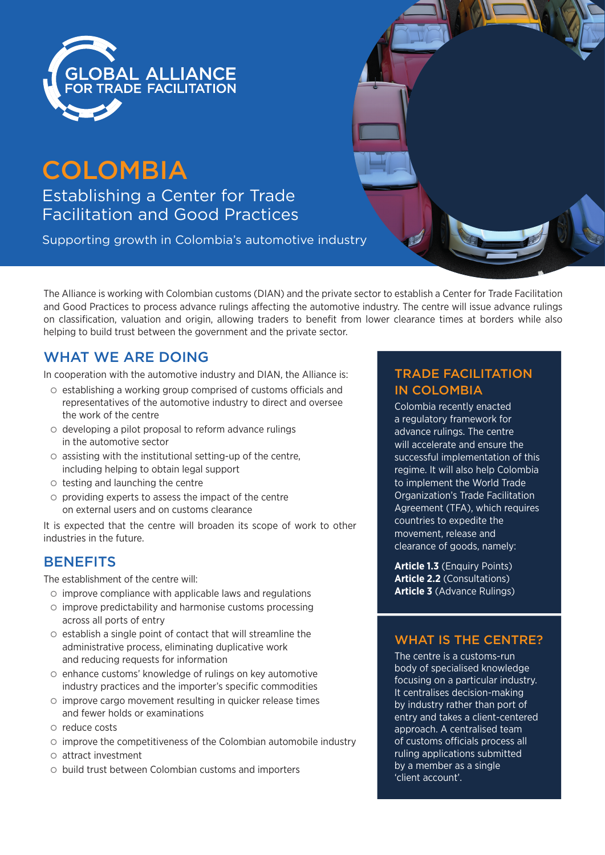

# **COLOMBIA**

Establishing a Center for Trade Facilitation and Good Practices

Supporting growth in Colombia's automotive industry

The Alliance is working with Colombian customs (DIAN) and the private sector to establish a Center for Trade Facilitation and Good Practices to process advance rulings affecting the automotive industry. The centre will issue advance rulings on classification, valuation and origin, allowing traders to benefit from lower clearance times at borders while also helping to build trust between the government and the private sector.

## WHAT WE ARE DOING

In cooperation with the automotive industry and DIAN, the Alliance is:

- | establishing a working group comprised of customs officials and representatives of the automotive industry to direct and oversee the work of the centre
- | developing a pilot proposal to reform advance rulings in the automotive sector
- $\circ$  assisting with the institutional setting-up of the centre, including helping to obtain legal support
- $\circ$  testing and launching the centre
- $\circ$  providing experts to assess the impact of the centre on external users and on customs clearance

It is expected that the centre will broaden its scope of work to other industries in the future.

## **BENEFITS**

The establishment of the centre will:

- $\circ$  improve compliance with applicable laws and regulations
- $\circ$  improve predictability and harmonise customs processing across all ports of entry
- $\circ$  establish a single point of contact that will streamline the administrative process, eliminating duplicative work and reducing requests for information
- | enhance customs' knowledge of rulings on key automotive industry practices and the importer's specific commodities
- $\circ$  improve cargo movement resulting in quicker release times and fewer holds or examinations
- $\circ$  reduce costs
- $\circ$  improve the competitiveness of the Colombian automobile industry
- $\circ$  attract investment
- | build trust between Colombian customs and importers

## TRADE FACILITATION IN COLOMBIA

Colombia recently enacted a regulatory framework for advance rulings. The centre will accelerate and ensure the successful implementation of this regime. It will also help Colombia to implement the World Trade Organization's Trade Facilitation Agreement (TFA), which requires countries to expedite the movement, release and clearance of goods, namely:

**Article 1.3** (Enquiry Points) **Article 2.2** (Consultations) **Article 3** (Advance Rulings)

## WHAT IS THE CENTRE?

The centre is a customs-run body of specialised knowledge focusing on a particular industry. It centralises decision-making by industry rather than port of entry and takes a client-centered approach. A centralised team of customs officials process all ruling applications submitted by a member as a single 'client account'.